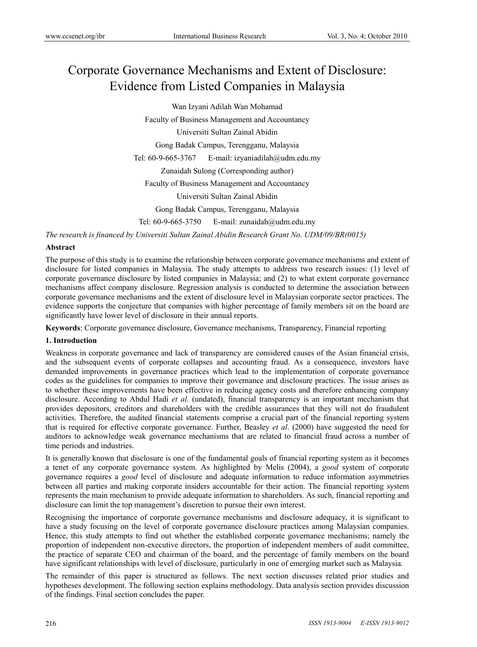# Corporate Governance Mechanisms and Extent of Disclosure: Evidence from Listed Companies in Malaysia

Wan Izyani Adilah Wan Mohamad Faculty of Business Management and Accountancy Universiti Sultan Zainal Abidin Gong Badak Campus, Terengganu, Malaysia Tel: 60-9-665-3767 E-mail: izyaniadilah@udm.edu.my Zunaidah Sulong (Corresponding author) Faculty of Business Management and Accountancy Universiti Sultan Zainal Abidin Gong Badak Campus, Terengganu, Malaysia Tel: 60-9-665-3750 E-mail: zunaidah@udm.edu.my

*The research is financed by Universiti Sultan Zainal Abidin Research Grant No. UDM/09/BR(0015)* 

### **Abstract**

The purpose of this study is to examine the relationship between corporate governance mechanisms and extent of disclosure for listed companies in Malaysia. The study attempts to address two research issues: (1) level of corporate governance disclosure by listed companies in Malaysia; and (2) to what extent corporate governance mechanisms affect company disclosure. Regression analysis is conducted to determine the association between corporate governance mechanisms and the extent of disclosure level in Malaysian corporate sector practices. The evidence supports the conjecture that companies with higher percentage of family members sit on the board are significantly have lower level of disclosure in their annual reports.

**Keywords**: Corporate governance disclosure, Governance mechanisms, Transparency, Financial reporting

#### **1. Introduction**

Weakness in corporate governance and lack of transparency are considered causes of the Asian financial crisis, and the subsequent events of corporate collapses and accounting fraud. As a consequence, investors have demanded improvements in governance practices which lead to the implementation of corporate governance codes as the guidelines for companies to improve their governance and disclosure practices. The issue arises as to whether these improvements have been effective in reducing agency costs and therefore enhancing company disclosure. According to Abdul Hadi *et al.* (undated), financial transparency is an important mechanism that provides depositors, creditors and shareholders with the credible assurances that they will not do fraudulent activities. Therefore, the audited financial statements comprise a crucial part of the financial reporting system that is required for effective corporate governance. Further, Beasley *et al*. (2000) have suggested the need for auditors to acknowledge weak governance mechanisms that are related to financial fraud across a number of time periods and industries.

It is generally known that disclosure is one of the fundamental goals of financial reporting system as it becomes a tenet of any corporate governance system. As highlighted by Melis (2004), a *good* system of corporate governance requires a *good* level of disclosure and adequate information to reduce information asymmetries between all parties and making corporate insiders accountable for their action. The financial reporting system represents the main mechanism to provide adequate information to shareholders. As such, financial reporting and disclosure can limit the top management's discretion to pursue their own interest.

Recognising the importance of corporate governance mechanisms and disclosure adequacy, it is significant to have a study focusing on the level of corporate governance disclosure practices among Malaysian companies. Hence, this study attempts to find out whether the established corporate governance mechanisms; namely the proportion of independent non-executive directors, the proportion of independent members of audit committee, the practice of separate CEO and chairman of the board, and the percentage of family members on the board have significant relationships with level of disclosure, particularly in one of emerging market such as Malaysia.

The remainder of this paper is structured as follows. The next section discusses related prior studies and hypotheses development. The following section explains methodology. Data analysis section provides discussion of the findings. Final section concludes the paper.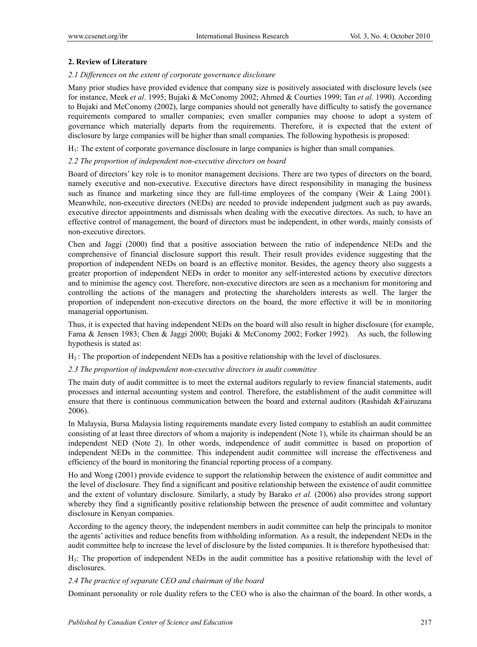## **2. Review of Literature**

#### *2.1 Differences on the extent of corporate governance disclosure*

Many prior studies have provided evidence that company size is positively associated with disclosure levels (see for instance, Meek *et al*. 1995; Bujaki & McConomy 2002; Ahmed & Courties 1999; Tan *et al.* 1990). According to Bujaki and McConomy (2002), large companies should not generally have difficulty to satisfy the governance requirements compared to smaller companies; even smaller companies may choose to adopt a system of governance which materially departs from the requirements. Therefore, it is expected that the extent of disclosure by large companies will be higher than small companies. The following hypothesis is proposed:

H1: The extent of corporate governance disclosure in large companies is higher than small companies.

### *2.2 The proportion of independent non-executive directors on board*

Board of directors' key role is to monitor management decisions. There are two types of directors on the board, namely executive and non-executive. Executive directors have direct responsibility in managing the business such as finance and marketing since they are full-time employees of the company (Weir & Laing 2001). Meanwhile, non-executive directors (NEDs) are needed to provide independent judgment such as pay awards, executive director appointments and dismissals when dealing with the executive directors. As such, to have an effective control of management, the board of directors must be independent, in other words, mainly consists of non-executive directors.

Chen and Jaggi (2000) find that a positive association between the ratio of independence NEDs and the comprehensive of financial disclosure support this result. Their result provides evidence suggesting that the proportion of independent NEDs on board is an effective monitor. Besides, the agency theory also suggests a greater proportion of independent NEDs in order to monitor any self-interested actions by executive directors and to minimise the agency cost. Therefore, non-executive directors are seen as a mechanism for monitoring and controlling the actions of the managers and protecting the shareholders interests as well. The larger the proportion of independent non-executive directors on the board, the more effective it will be in monitoring managerial opportunism.

Thus, it is expected that having independent NEDs on the board will also result in higher disclosure (for example, Fama & Jensen 1983; Chen & Jaggi 2000; Bujaki & McConomy 2002; Forker 1992). As such, the following hypothesis is stated as:

 $H_2$ : The proportion of independent NEDs has a positive relationship with the level of disclosures.

#### *2.3 The proportion of independent non-executive directors in audit committee*

The main duty of audit committee is to meet the external auditors regularly to review financial statements, audit processes and internal accounting system and control. Therefore, the establishment of the audit committee will ensure that there is continuous communication between the board and external auditors (Rashidah &Fairuzana 2006).

In Malaysia, Bursa Malaysia listing requirements mandate every listed company to establish an audit committee consisting of at least three directors of whom a majority is independent (Note 1), while its chairman should be an independent NED (Note 2). In other words, independence of audit committee is based on proportion of independent NEDs in the committee. This independent audit committee will increase the effectiveness and efficiency of the board in monitoring the financial reporting process of a company.

Ho and Wong (2001) provide evidence to support the relationship between the existence of audit committee and the level of disclosure. They find a significant and positive relationship between the existence of audit committee and the extent of voluntary disclosure. Similarly, a study by Barako *et al.* (2006) also provides strong support whereby they find a significantly positive relationship between the presence of audit committee and voluntary disclosure in Kenyan companies.

According to the agency theory, the independent members in audit committee can help the principals to monitor the agents' activities and reduce benefits from withholding information. As a result, the independent NEDs in the audit committee help to increase the level of disclosure by the listed companies. It is therefore hypothesised that:

H3: The proportion of independent NEDs in the audit committee has a positive relationship with the level of disclosures.

## *2.4 The practice of separate CEO and chairman of the board*

Dominant personality or role duality refers to the CEO who is also the chairman of the board. In other words, a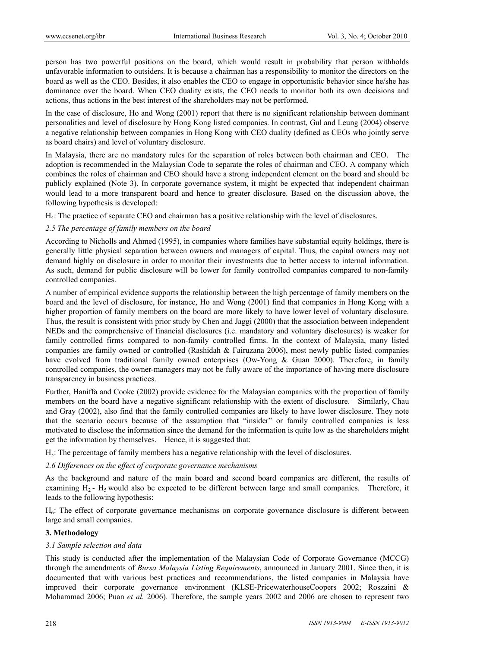person has two powerful positions on the board, which would result in probability that person withholds unfavorable information to outsiders. It is because a chairman has a responsibility to monitor the directors on the board as well as the CEO. Besides, it also enables the CEO to engage in opportunistic behavior since he/she has dominance over the board. When CEO duality exists, the CEO needs to monitor both its own decisions and actions, thus actions in the best interest of the shareholders may not be performed.

In the case of disclosure, Ho and Wong (2001) report that there is no significant relationship between dominant personalities and level of disclosure by Hong Kong listed companies. In contrast, Gul and Leung (2004) observe a negative relationship between companies in Hong Kong with CEO duality (defined as CEOs who jointly serve as board chairs) and level of voluntary disclosure.

In Malaysia, there are no mandatory rules for the separation of roles between both chairman and CEO. The adoption is recommended in the Malaysian Code to separate the roles of chairman and CEO. A company which combines the roles of chairman and CEO should have a strong independent element on the board and should be publicly explained (Note 3). In corporate governance system, it might be expected that independent chairman would lead to a more transparent board and hence to greater disclosure. Based on the discussion above, the following hypothesis is developed:

H4: The practice of separate CEO and chairman has a positive relationship with the level of disclosures.

### *2.5 The percentage of family members on the board*

According to Nicholls and Ahmed (1995), in companies where families have substantial equity holdings, there is generally little physical separation between owners and managers of capital. Thus, the capital owners may not demand highly on disclosure in order to monitor their investments due to better access to internal information. As such, demand for public disclosure will be lower for family controlled companies compared to non-family controlled companies.

A number of empirical evidence supports the relationship between the high percentage of family members on the board and the level of disclosure, for instance, Ho and Wong (2001) find that companies in Hong Kong with a higher proportion of family members on the board are more likely to have lower level of voluntary disclosure. Thus, the result is consistent with prior study by Chen and Jaggi (2000) that the association between independent NEDs and the comprehensive of financial disclosures (i.e. mandatory and voluntary disclosures) is weaker for family controlled firms compared to non-family controlled firms. In the context of Malaysia, many listed companies are family owned or controlled (Rashidah & Fairuzana 2006), most newly public listed companies have evolved from traditional family owned enterprises (Ow-Yong & Guan 2000). Therefore, in family controlled companies, the owner-managers may not be fully aware of the importance of having more disclosure transparency in business practices.

Further, Haniffa and Cooke (2002) provide evidence for the Malaysian companies with the proportion of family members on the board have a negative significant relationship with the extent of disclosure. Similarly, Chau and Gray (2002), also find that the family controlled companies are likely to have lower disclosure. They note that the scenario occurs because of the assumption that "insider" or family controlled companies is less motivated to disclose the information since the demand for the information is quite low as the shareholders might get the information by themselves. Hence, it is suggested that:

H5: The percentage of family members has a negative relationship with the level of disclosures.

#### *2.6 Differences on the effect of corporate governance mechanisms*

As the background and nature of the main board and second board companies are different, the results of examining  $H_2$  -  $H_5$  would also be expected to be different between large and small companies. Therefore, it leads to the following hypothesis:

H6: The effect of corporate governance mechanisms on corporate governance disclosure is different between large and small companies.

#### **3. Methodology**

#### *3.1 Sample selection and data*

This study is conducted after the implementation of the Malaysian Code of Corporate Governance (MCCG) through the amendments of *Bursa Malaysia Listing Requirements*, announced in January 2001. Since then, it is documented that with various best practices and recommendations, the listed companies in Malaysia have improved their corporate governance environment (KLSE-PricewaterhouseCoopers 2002; Roszaini & Mohammad 2006; Puan *et al.* 2006). Therefore, the sample years 2002 and 2006 are chosen to represent two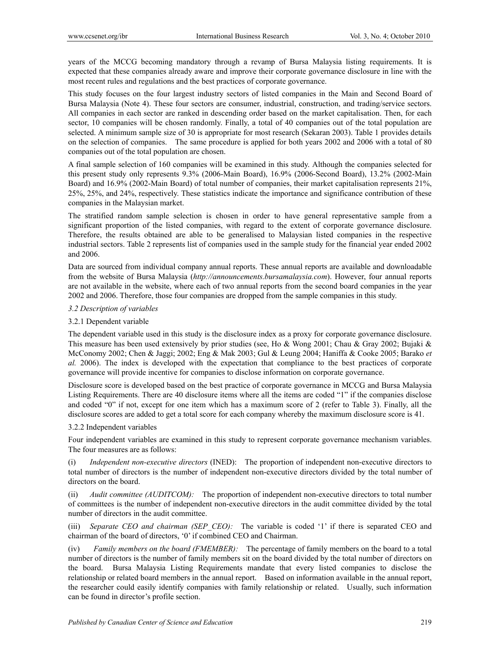years of the MCCG becoming mandatory through a revamp of Bursa Malaysia listing requirements. It is expected that these companies already aware and improve their corporate governance disclosure in line with the most recent rules and regulations and the best practices of corporate governance.

This study focuses on the four largest industry sectors of listed companies in the Main and Second Board of Bursa Malaysia (Note 4). These four sectors are consumer, industrial, construction, and trading/service sectors. All companies in each sector are ranked in descending order based on the market capitalisation. Then, for each sector, 10 companies will be chosen randomly. Finally, a total of 40 companies out of the total population are selected. A minimum sample size of 30 is appropriate for most research (Sekaran 2003). Table 1 provides details on the selection of companies. The same procedure is applied for both years 2002 and 2006 with a total of 80 companies out of the total population are chosen.

A final sample selection of 160 companies will be examined in this study. Although the companies selected for this present study only represents 9.3% (2006-Main Board), 16.9% (2006-Second Board), 13.2% (2002-Main Board) and 16.9% (2002-Main Board) of total number of companies, their market capitalisation represents 21%, 25%, 25%, and 24%, respectively. These statistics indicate the importance and significance contribution of these companies in the Malaysian market.

The stratified random sample selection is chosen in order to have general representative sample from a significant proportion of the listed companies, with regard to the extent of corporate governance disclosure. Therefore, the results obtained are able to be generalised to Malaysian listed companies in the respective industrial sectors. Table 2 represents list of companies used in the sample study for the financial year ended 2002 and 2006.

Data are sourced from individual company annual reports. These annual reports are available and downloadable from the website of Bursa Malaysia (*http://announcements.bursamalaysia.com*). However, four annual reports are not available in the website, where each of two annual reports from the second board companies in the year 2002 and 2006. Therefore, those four companies are dropped from the sample companies in this study.

#### *3.2 Description of variables*

#### 3.2.1 Dependent variable

The dependent variable used in this study is the disclosure index as a proxy for corporate governance disclosure. This measure has been used extensively by prior studies (see, Ho & Wong 2001; Chau & Gray 2002; Bujaki & McConomy 2002; Chen & Jaggi; 2002; Eng & Mak 2003; Gul & Leung 2004; Haniffa & Cooke 2005; Barako *et al.* 2006). The index is developed with the expectation that compliance to the best practices of corporate governance will provide incentive for companies to disclose information on corporate governance.

Disclosure score is developed based on the best practice of corporate governance in MCCG and Bursa Malaysia Listing Requirements. There are 40 disclosure items where all the items are coded "1" if the companies disclose and coded "0" if not, except for one item which has a maximum score of 2 (refer to Table 3). Finally, all the disclosure scores are added to get a total score for each company whereby the maximum disclosure score is 41.

#### 3.2.2 Independent variables

Four independent variables are examined in this study to represent corporate governance mechanism variables. The four measures are as follows:

(i) *Independent non-executive directors* (INED): The proportion of independent non-executive directors to total number of directors is the number of independent non-executive directors divided by the total number of directors on the board.

(ii) *Audit committee (AUDITCOM):* The proportion of independent non-executive directors to total number of committees is the number of independent non-executive directors in the audit committee divided by the total number of directors in the audit committee.

(iii) *Separate CEO and chairman (SEP\_CEO):* The variable is coded '1' if there is separated CEO and chairman of the board of directors, '0' if combined CEO and Chairman.

(iv) *Family members on the board (FMEMBER):* The percentage of family members on the board to a total number of directors is the number of family members sit on the board divided by the total number of directors on the board. Bursa Malaysia Listing Requirements mandate that every listed companies to disclose the relationship or related board members in the annual report. Based on information available in the annual report, the researcher could easily identify companies with family relationship or related. Usually, such information can be found in director's profile section.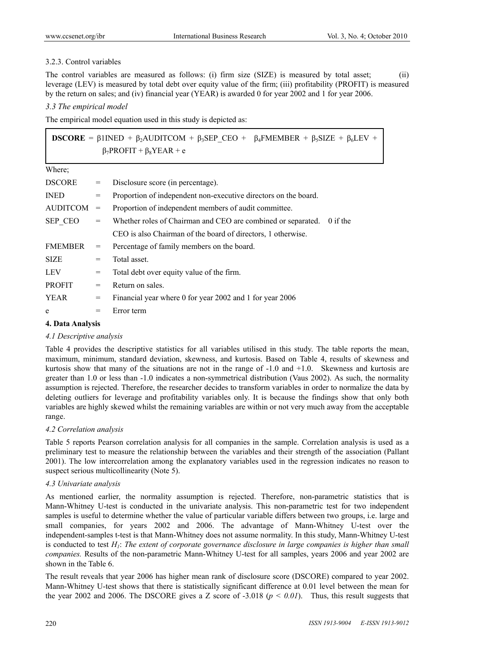# 3.2.3. Control variables

The control variables are measured as follows: (i) firm size (SIZE) is measured by total asset; (ii) leverage (LEV) is measured by total debt over equity value of the firm; (iii) profitability (PROFIT) is measured by the return on sales; and (iv) financial year (YEAR) is awarded 0 for year 2002 and 1 for year 2006.

# *3.3 The empirical model*

The empirical model equation used in this study is depicted as:

# **DSCORE** =  $\beta$ 1INED +  $\beta_2$ AUDITCOM +  $\beta_3$ SEP CEO +  $\beta_4$ FMEMBER +  $\beta_5$ SIZE +  $\beta_6$ LEV +  $\beta_7$ PROFIT +  $\beta_8$ YEAR + e

Where;

| DSCORE         | $=$ | Disclosure score (in percentage).                                          |
|----------------|-----|----------------------------------------------------------------------------|
| <b>INED</b>    | $=$ | Proportion of independent non-executive directors on the board.            |
| AUDITCOM       | $=$ | Proportion of independent members of audit committee.                      |
| SEP CEO        | $=$ | Whether roles of Chairman and CEO are combined or separated.<br>$0$ if the |
|                |     | CEO is also Chairman of the board of directors, 1 otherwise.               |
| <b>FMEMBER</b> | $=$ | Percentage of family members on the board.                                 |
| <b>SIZE</b>    | $=$ | Total asset.                                                               |
| <b>LEV</b>     | $=$ | Total debt over equity value of the firm.                                  |
| <b>PROFIT</b>  | $=$ | Return on sales.                                                           |
| <b>YEAR</b>    | $=$ | Financial year where 0 for year 2002 and 1 for year 2006                   |
| e              |     | Error term                                                                 |
|                |     |                                                                            |

## **4. Data Analysis**

## *4.1 Descriptive analysis*

Table 4 provides the descriptive statistics for all variables utilised in this study. The table reports the mean, maximum, minimum, standard deviation, skewness, and kurtosis. Based on Table 4, results of skewness and kurtosis show that many of the situations are not in the range of  $-1.0$  and  $+1.0$ . Skewness and kurtosis are greater than 1.0 or less than -1.0 indicates a non-symmetrical distribution (Vaus 2002). As such, the normality assumption is rejected. Therefore, the researcher decides to transform variables in order to normalize the data by deleting outliers for leverage and profitability variables only. It is because the findings show that only both variables are highly skewed whilst the remaining variables are within or not very much away from the acceptable range.

## *4.2 Correlation analysis*

Table 5 reports Pearson correlation analysis for all companies in the sample. Correlation analysis is used as a preliminary test to measure the relationship between the variables and their strength of the association (Pallant 2001). The low intercorrelation among the explanatory variables used in the regression indicates no reason to suspect serious multicollinearity (Note 5).

## *4.3 Univariate analysis*

As mentioned earlier, the normality assumption is rejected. Therefore, non-parametric statistics that is Mann-Whitney U-test is conducted in the univariate analysis. This non-parametric test for two independent samples is useful to determine whether the value of particular variable differs between two groups, i.e. large and small companies, for years 2002 and 2006. The advantage of Mann-Whitney U-test over the independent-samples t-test is that Mann-Whitney does not assume normality. In this study, Mann-Whitney U-test is conducted to test  $H_1$ : The extent of corporate governance disclosure in large companies is higher than small *companies.* Results of the non-parametric Mann-Whitney U-test for all samples, years 2006 and year 2002 are shown in the Table 6.

The result reveals that year 2006 has higher mean rank of disclosure score (DSCORE) compared to year 2002. Mann-Whitney U-test shows that there is statistically significant difference at 0.01 level between the mean for the year 2002 and 2006. The DSCORE gives a Z score of  $-3.018$  ( $p < 0.01$ ). Thus, this result suggests that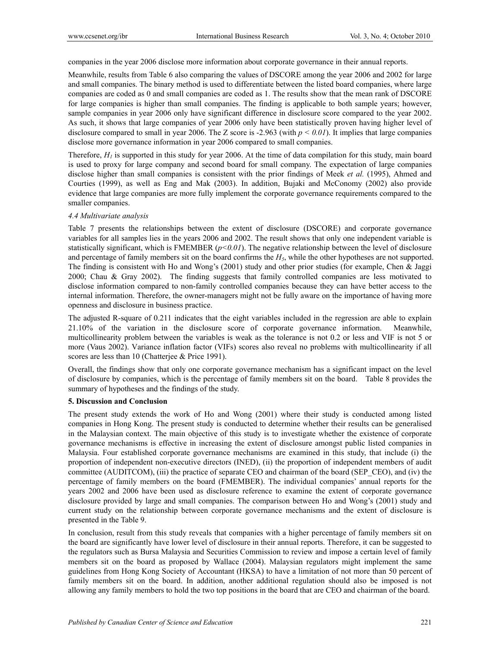companies in the year 2006 disclose more information about corporate governance in their annual reports.

Meanwhile, results from Table 6 also comparing the values of DSCORE among the year 2006 and 2002 for large and small companies. The binary method is used to differentiate between the listed board companies, where large companies are coded as 0 and small companies are coded as 1. The results show that the mean rank of DSCORE for large companies is higher than small companies. The finding is applicable to both sample years; however, sample companies in year 2006 only have significant difference in disclosure score compared to the year 2002. As such, it shows that large companies of year 2006 only have been statistically proven having higher level of disclosure compared to small in year 2006. The Z score is -2.963 (with  $p < 0.01$ ). It implies that large companies disclose more governance information in year 2006 compared to small companies.

Therefore,  $H<sub>l</sub>$  is supported in this study for year 2006. At the time of data compilation for this study, main board is used to proxy for large company and second board for small company. The expectation of large companies disclose higher than small companies is consistent with the prior findings of Meek *et al.* (1995), Ahmed and Courties (1999), as well as Eng and Mak (2003). In addition, Bujaki and McConomy (2002) also provide evidence that large companies are more fully implement the corporate governance requirements compared to the smaller companies.

### *4.4 Multivariate analysis*

Table 7 presents the relationships between the extent of disclosure (DSCORE) and corporate governance variables for all samples lies in the years 2006 and 2002. The result shows that only one independent variable is statistically significant, which is FMEMBER  $(p<0.01)$ . The negative relationship between the level of disclosure and percentage of family members sit on the board confirms the  $H_5$ , while the other hypotheses are not supported. The finding is consistent with Ho and Wong's (2001) study and other prior studies (for example, Chen & Jaggi 2000; Chau & Gray 2002). The finding suggests that family controlled companies are less motivated to disclose information compared to non-family controlled companies because they can have better access to the internal information. Therefore, the owner-managers might not be fully aware on the importance of having more openness and disclosure in business practice.

The adjusted R-square of 0.211 indicates that the eight variables included in the regression are able to explain 21.10% of the variation in the disclosure score of corporate governance information. Meanwhile, multicollinearity problem between the variables is weak as the tolerance is not 0.2 or less and VIF is not 5 or more (Vaus 2002). Variance inflation factor (VIFs) scores also reveal no problems with multicollinearity if all scores are less than 10 (Chatterjee & Price 1991).

Overall, the findings show that only one corporate governance mechanism has a significant impact on the level of disclosure by companies, which is the percentage of family members sit on the board. Table 8 provides the summary of hypotheses and the findings of the study.

## **5. Discussion and Conclusion**

The present study extends the work of Ho and Wong (2001) where their study is conducted among listed companies in Hong Kong. The present study is conducted to determine whether their results can be generalised in the Malaysian context. The main objective of this study is to investigate whether the existence of corporate governance mechanisms is effective in increasing the extent of disclosure amongst public listed companies in Malaysia. Four established corporate governance mechanisms are examined in this study, that include (i) the proportion of independent non-executive directors (INED), (ii) the proportion of independent members of audit committee (AUDITCOM), (iii) the practice of separate CEO and chairman of the board (SEP\_CEO), and (iv) the percentage of family members on the board (FMEMBER). The individual companies' annual reports for the years 2002 and 2006 have been used as disclosure reference to examine the extent of corporate governance disclosure provided by large and small companies. The comparison between Ho and Wong's (2001) study and current study on the relationship between corporate governance mechanisms and the extent of disclosure is presented in the Table 9.

In conclusion, result from this study reveals that companies with a higher percentage of family members sit on the board are significantly have lower level of disclosure in their annual reports. Therefore, it can be suggested to the regulators such as Bursa Malaysia and Securities Commission to review and impose a certain level of family members sit on the board as proposed by Wallace (2004). Malaysian regulators might implement the same guidelines from Hong Kong Society of Accountant (HKSA) to have a limitation of not more than 50 percent of family members sit on the board. In addition, another additional regulation should also be imposed is not allowing any family members to hold the two top positions in the board that are CEO and chairman of the board.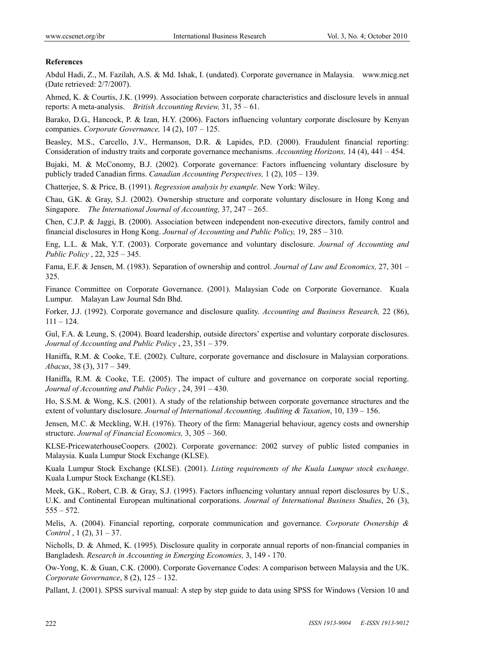#### **References**

Abdul Hadi, Z., M. Fazilah, A.S. & Md. Ishak, I. (undated). Corporate governance in Malaysia. www.micg.net (Date retrieved: 2/7/2007).

Ahmed, K. & Courtis, J.K. (1999). Association between corporate characteristics and disclosure levels in annual reports: A meta-analysis. *British Accounting Review,* 31, 35 – 61.

Barako, D.G., Hancock, P. & Izan, H.Y. (2006). Factors influencing voluntary corporate disclosure by Kenyan companies. *Corporate Governance,* 14 (2), 107 – 125.

Beasley, M.S., Carcello, J.V., Hermanson, D.R. & Lapides, P.D. (2000). Fraudulent financial reporting: Consideration of industry traits and corporate governance mechanisms. *Accounting Horizons,* 14 (4), 441 – 454.

Bujaki, M. & McConomy, B.J. (2002). Corporate governance: Factors influencing voluntary disclosure by publicly traded Canadian firms. *Canadian Accounting Perspectives,* 1 (2), 105 – 139.

Chatterjee, S. & Price, B. (1991). *Regression analysis by example*. New York: Wiley.

Chau, G.K. & Gray, S.J. (2002). Ownership structure and corporate voluntary disclosure in Hong Kong and Singapore. *The International Journal of Accounting,* 37, 247 – 265.

Chen, C.J.P. & Jaggi, B. (2000). Association between independent non-executive directors, family control and financial disclosures in Hong Kong. *Journal of Accounting and Public Policy,* 19, 285 – 310.

Eng, L.L. & Mak, Y.T. (2003). Corporate governance and voluntary disclosure. *Journal of Accounting and Public Policy* , 22, 325 – 345.

Fama, E.F. & Jensen, M. (1983). Separation of ownership and control. *Journal of Law and Economics,* 27, 301 – 325.

Finance Committee on Corporate Governance. (2001). Malaysian Code on Corporate Governance. Kuala Lumpur. Malayan Law Journal Sdn Bhd.

Forker, J.J. (1992). Corporate governance and disclosure quality. *Accounting and Business Research,* 22 (86),  $111 - 124$ .

Gul, F.A. & Leung, S. (2004). Board leadership, outside directors' expertise and voluntary corporate disclosures. *Journal of Accounting and Public Policy* , 23, 351 – 379.

Haniffa, R.M. & Cooke, T.E. (2002). Culture, corporate governance and disclosure in Malaysian corporations. *Abacus*, 38 (3), 317 – 349.

Haniffa, R.M. & Cooke, T.E. (2005). The impact of culture and governance on corporate social reporting. *Journal of Accounting and Public Policy* , 24, 391 – 430.

Ho, S.S.M. & Wong, K.S. (2001). A study of the relationship between corporate governance structures and the extent of voluntary disclosure. *Journal of International Accounting, Auditing & Taxation*, 10, 139 – 156.

Jensen, M.C. & Meckling, W.H. (1976). Theory of the firm: Managerial behaviour, agency costs and ownership structure. *Journal of Financial Economics,* 3, 305 – 360.

KLSE-PricewaterhouseCoopers. (2002). Corporate governance: 2002 survey of public listed companies in Malaysia. Kuala Lumpur Stock Exchange (KLSE).

Kuala Lumpur Stock Exchange (KLSE). (2001). *Listing requirements of the Kuala Lumpur stock exchange*. Kuala Lumpur Stock Exchange (KLSE).

Meek, G.K., Robert, C.B. & Gray, S.J. (1995). Factors influencing voluntary annual report disclosures by U.S., U.K. and Continental European multinational corporations. *Journal of International Business Studies*, 26 (3),  $555 - 572.$ 

Melis, A. (2004). Financial reporting, corporate communication and governance. *Corporate Ownership & Control* , 1 (2), 31 – 37.

Nicholls, D. & Ahmed, K. (1995). Disclosure quality in corporate annual reports of non-financial companies in Bangladesh. *Research in Accounting in Emerging Economies,* 3, 149 - 170.

Ow-Yong, K. & Guan, C.K. (2000). Corporate Governance Codes: A comparison between Malaysia and the UK. *Corporate Governance*, 8 (2), 125 – 132.

Pallant, J. (2001). SPSS survival manual: A step by step guide to data using SPSS for Windows (Version 10 and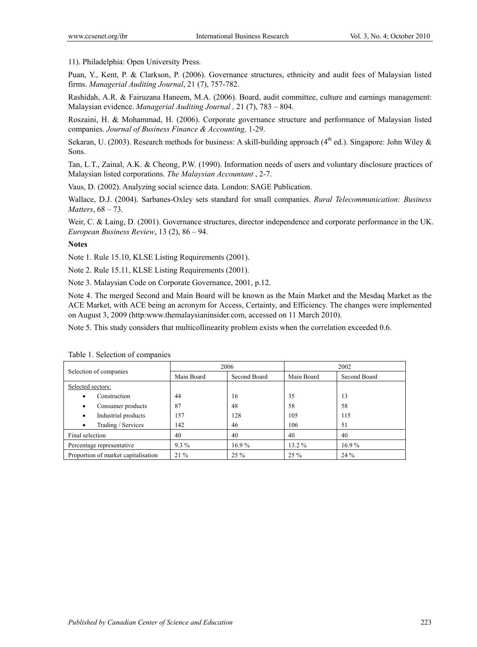11). Philadelphia: Open University Press.

Puan, Y., Kent, P. & Clarkson, P. (2006). Governance structures, ethnicity and audit fees of Malaysian listed firms. *Managerial Auditing Journal*, 21 (7), 757-782.

Rashidah, A.R. & Fairuzana Haneem, M.A. (2006). Board, audit committee, culture and earnings management: Malaysian evidence. *Managerial Auditing Journal ,* 21 (7), 783 – 804.

Roszaini, H. & Mohammad, H. (2006). Corporate governance structure and performance of Malaysian listed companies. *Journal of Business Finance & Accounting,* 1-29.

Sekaran, U. (2003). Research methods for business: A skill-building approach ( $4<sup>th</sup>$  ed.). Singapore: John Wiley & Sons.

Tan, L.T., Zainal, A.K. & Cheong, P.W. (1990). Information needs of users and voluntary disclosure practices of Malaysian listed corporations. *The Malaysian Accountant* , 2-7.

Vaus, D. (2002). Analyzing social science data. London: SAGE Publication.

Wallace, D.J. (2004). Sarbanes-Oxley sets standard for small companies. *Rural Telecommunication: Business Matters*, 68 – 73.

Weir, C. & Laing, D. (2001). Governance structures, director independence and corporate performance in the UK. *European Business Review*, 13 (2), 86 – 94.

#### **Notes**

Note 1. Rule 15.10, KLSE Listing Requirements (2001).

Note 2. Rule 15.11, KLSE Listing Requirements (2001).

Note 3. Malaysian Code on Corporate Governance, 2001, p.12.

Note 4. The merged Second and Main Board will be known as the Main Market and the Mesdaq Market as the ACE Market, with ACE being an acronym for Access, Certainty, and Efficiency. The changes were implemented on August 3, 2009 (http:www.themalaysianinsider.com, accessed on 11 March 2010).

Note 5. This study considers that multicollinearity problem exists when the correlation exceeded 0.6.

|                                     |            | 2006         | 2002       |              |  |
|-------------------------------------|------------|--------------|------------|--------------|--|
| Selection of companies              | Main Board | Second Board | Main Board | Second Board |  |
| Selected sectors:                   |            |              |            |              |  |
| Construction                        | 44         | 16           | 35         | 13           |  |
| Consumer products<br>٠              | 87         | 48           | 58         | 58           |  |
| Industrial products                 | 157        | 128          | 105        | 115          |  |
| Trading / Services                  | 142        | 46           | 106        | 51           |  |
| Final selection                     | 40         | 40           | 40         | 40           |  |
| Percentage representative           | $9.3\%$    | $16.9\%$     | $13.2\%$   | $16.9\%$     |  |
| Proportion of market capitalisation | $21\%$     | $25 \%$      | $25 \%$    | 24 %         |  |

Table 1. Selection of companies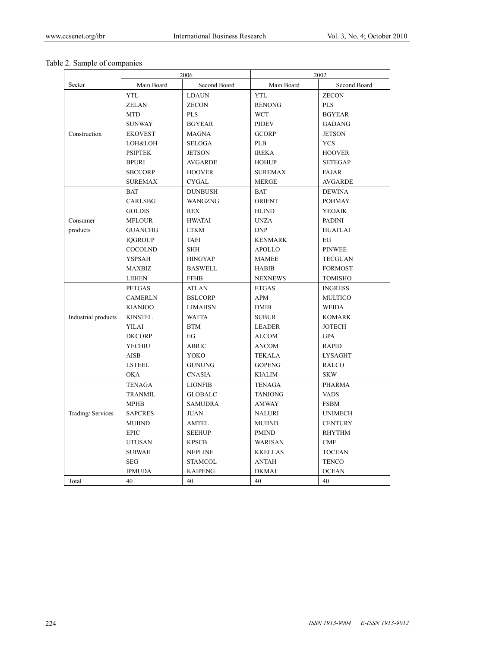# Table 2. Sample of companies

|                     | 2006           |                | 2002           |                |  |
|---------------------|----------------|----------------|----------------|----------------|--|
| Sector              | Main Board     | Second Board   | Main Board     | Second Board   |  |
|                     | <b>YTL</b>     | <b>LDAUN</b>   | <b>YTL</b>     | <b>ZECON</b>   |  |
|                     | <b>ZELAN</b>   | <b>ZECON</b>   | <b>RENONG</b>  | <b>PLS</b>     |  |
|                     | <b>MTD</b>     | <b>PLS</b>     | <b>WCT</b>     | <b>BGYEAR</b>  |  |
|                     | <b>SUNWAY</b>  | <b>BGYEAR</b>  | <b>PJDEV</b>   | <b>GADANG</b>  |  |
| Construction        | <b>EKOVEST</b> | <b>MAGNA</b>   | <b>GCORP</b>   | <b>JETSON</b>  |  |
|                     | LOH&LOH        | <b>SELOGA</b>  | <b>PLB</b>     | <b>YCS</b>     |  |
|                     | <b>PSIPTEK</b> | <b>JETSON</b>  | <b>IREKA</b>   | <b>HOOVER</b>  |  |
|                     | <b>BPURI</b>   | <b>AVGARDE</b> | <b>HOHUP</b>   | <b>SETEGAP</b> |  |
|                     | <b>SBCCORP</b> | <b>HOOVER</b>  | <b>SUREMAX</b> | <b>FAJAR</b>   |  |
|                     | <b>SUREMAX</b> | <b>CYGAL</b>   | <b>MERGE</b>   | <b>AVGARDE</b> |  |
|                     | <b>BAT</b>     | <b>DUNBUSH</b> | <b>BAT</b>     | <b>DEWINA</b>  |  |
|                     | <b>CARLSBG</b> | WANGZNG        | <b>ORIENT</b>  | <b>POHMAY</b>  |  |
|                     | <b>GOLDIS</b>  | <b>REX</b>     | <b>HLIND</b>   | <b>YEOAIK</b>  |  |
| Consumer            | <b>MFLOUR</b>  | <b>HWATAI</b>  | UNZA           | <b>PADINI</b>  |  |
| products            | <b>GUANCHG</b> | <b>LTKM</b>    | <b>DNP</b>     | <b>HUATLAI</b> |  |
|                     | <b>IOGROUP</b> | <b>TAFI</b>    | <b>KENMARK</b> | EG             |  |
|                     | <b>COCOLND</b> | <b>SHH</b>     | <b>APOLLO</b>  | <b>PINWEE</b>  |  |
|                     | YSPSAH         | <b>HINGYAP</b> | MAMEE          | <b>TECGUAN</b> |  |
|                     | <b>MAXBIZ</b>  | <b>BASWELL</b> | <b>HABIB</b>   | <b>FORMOST</b> |  |
|                     | <b>LIIHEN</b>  | <b>FFHB</b>    | <b>NEXNEWS</b> | <b>TOMISHO</b> |  |
|                     | <b>PETGAS</b>  | <b>ATLAN</b>   | <b>ETGAS</b>   | <b>INGRESS</b> |  |
|                     | <b>CAMERLN</b> | <b>BSLCORP</b> | <b>APM</b>     | <b>MULTICO</b> |  |
|                     | <b>KIANJOO</b> | <b>LIMAHSN</b> | <b>DMIB</b>    | <b>WEIDA</b>   |  |
| Industrial products | <b>KINSTEL</b> | <b>WATTA</b>   | <b>SUBUR</b>   | <b>KOMARK</b>  |  |
|                     | YILAI          | <b>BTM</b>     | <b>LEADER</b>  | JOTECH         |  |
|                     | <b>DKCORP</b>  | EG             | ALCOM          | <b>GPA</b>     |  |
|                     | YECHIU         | <b>ABRIC</b>   | <b>ANCOM</b>   | <b>RAPID</b>   |  |
|                     | <b>AISB</b>    | YOKO           | <b>TEKALA</b>  | <b>LYSAGHT</b> |  |
|                     | <b>LSTEEL</b>  | <b>GUNUNG</b>  | <b>GOPENG</b>  | RALCO          |  |
|                     | <b>OKA</b>     | <b>CNASIA</b>  | KIALIM         | <b>SKW</b>     |  |
|                     | <b>TENAGA</b>  | <b>LIONFIB</b> | <b>TENAGA</b>  | <b>PHARMA</b>  |  |
|                     | <b>TRANMIL</b> | <b>GLOBALC</b> | <b>TANJONG</b> | <b>VADS</b>    |  |
|                     | <b>MPHB</b>    | <b>SAMUDRA</b> | <b>AMWAY</b>   | <b>FSBM</b>    |  |
| Trading/Services    | <b>SAPCRES</b> | <b>JUAN</b>    | <b>NALURI</b>  | <b>UNIMECH</b> |  |
|                     | <b>MUIIND</b>  | <b>AMTEL</b>   | <b>MUIIND</b>  | <b>CENTURY</b> |  |
|                     | <b>EPIC</b>    | <b>SEEHUP</b>  | <b>PMIND</b>   | RHYTHM         |  |
|                     | <b>UTUSAN</b>  | <b>KPSCB</b>   | WARISAN        | <b>CME</b>     |  |
|                     | <b>SUIWAH</b>  | <b>NEPLINE</b> | <b>KKELLAS</b> | <b>TOCEAN</b>  |  |
|                     | <b>SEG</b>     | <b>STAMCOL</b> | <b>ANTAH</b>   | <b>TENCO</b>   |  |
|                     | <b>IPMUDA</b>  | <b>KAIPENG</b> | <b>DKMAT</b>   | <b>OCEAN</b>   |  |
| Total               | 40             | 40             | 40             | 40             |  |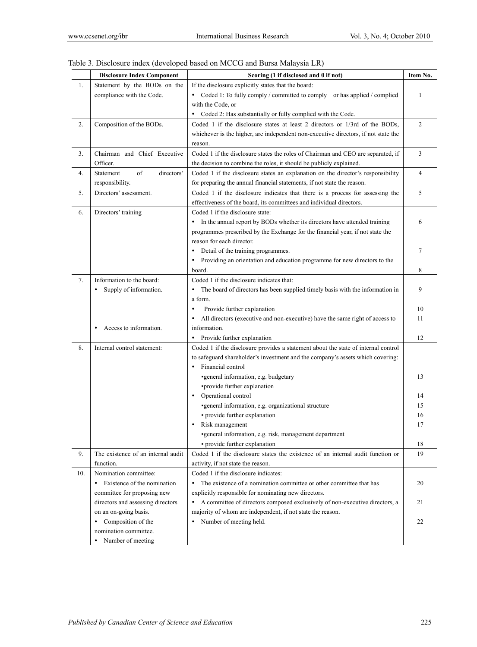|     | <b>Disclosure Index Component</b>        | Scoring (1 if disclosed and 0 if not)                                                                                                                                | Item No. |
|-----|------------------------------------------|----------------------------------------------------------------------------------------------------------------------------------------------------------------------|----------|
| 1.  | Statement by the BODs on the             | If the disclosure explicitly states that the board:                                                                                                                  |          |
|     | compliance with the Code.                | Coded 1: To fully comply / committed to comply or has applied / complied<br>$\bullet$                                                                                | 1        |
|     |                                          | with the Code, or                                                                                                                                                    |          |
|     |                                          | • Coded 2: Has substantially or fully complied with the Code.                                                                                                        |          |
| 2.  | Composition of the BODs.                 | Coded 1 if the disclosure states at least 2 directors or 1/3rd of the BODs,                                                                                          | 2        |
|     |                                          | whichever is the higher, are independent non-executive directors, if not state the                                                                                   |          |
|     |                                          | reason.                                                                                                                                                              |          |
| 3.  | Chairman and Chief Executive             | Coded 1 if the disclosure states the roles of Chairman and CEO are separated, if                                                                                     | 3        |
|     | Officer.                                 | the decision to combine the roles, it should be publicly explained.                                                                                                  |          |
| 4.  | directors'<br>Statement<br>of            | Coded 1 if the disclosure states an explanation on the director's responsibility                                                                                     | 4        |
|     | responsibility.                          | for preparing the annual financial statements, if not state the reason.                                                                                              |          |
| 5.  | Directors' assessment.                   | Coded 1 if the disclosure indicates that there is a process for assessing the                                                                                        | 5        |
|     |                                          | effectiveness of the board, its committees and individual directors.                                                                                                 |          |
| 6.  | Directors' training                      | Coded 1 if the disclosure state:                                                                                                                                     |          |
|     |                                          | • In the annual report by BODs whether its directors have attended training                                                                                          | 6        |
|     |                                          | programmes prescribed by the Exchange for the financial year, if not state the                                                                                       |          |
|     |                                          | reason for each director.                                                                                                                                            |          |
|     |                                          | Detail of the training programmes.                                                                                                                                   | 7        |
|     |                                          | Providing an orientation and education programme for new directors to the                                                                                            |          |
|     |                                          | board.                                                                                                                                                               | 8        |
| 7.  | Information to the board:                | Coded 1 if the disclosure indicates that:                                                                                                                            |          |
|     | Supply of information.<br>٠              | The board of directors has been supplied timely basis with the information in                                                                                        | 9        |
|     |                                          | a form.                                                                                                                                                              |          |
|     |                                          | Provide further explanation<br>٠                                                                                                                                     | 10       |
|     |                                          | All directors (executive and non-executive) have the same right of access to<br>٠                                                                                    | 11       |
|     | Access to information.                   | information.                                                                                                                                                         | 12       |
| 8.  |                                          | Provide further explanation<br>٠                                                                                                                                     |          |
|     | Internal control statement:              | Coded 1 if the disclosure provides a statement about the state of internal control<br>to safeguard shareholder's investment and the company's assets which covering: |          |
|     |                                          | Financial control                                                                                                                                                    |          |
|     |                                          | ·general information, e.g. budgetary                                                                                                                                 | 13       |
|     |                                          | ·provide further explanation                                                                                                                                         |          |
|     |                                          | Operational control<br>$\bullet$                                                                                                                                     | 14       |
|     |                                          | ·general information, e.g. organizational structure                                                                                                                  | 15       |
|     |                                          | · provide further explanation                                                                                                                                        | 16       |
|     |                                          | Risk management                                                                                                                                                      | 17       |
|     |                                          | "general information, e.g. risk, management department                                                                                                               |          |
|     |                                          | · provide further explanation                                                                                                                                        | 18       |
| 9.  | The existence of an internal audit       | Coded 1 if the disclosure states the existence of an internal audit function or                                                                                      | 19       |
|     | function.                                | activity, if not state the reason.                                                                                                                                   |          |
| 10. | Nomination committee:                    | Coded 1 if the disclosure indicates:                                                                                                                                 |          |
|     | Existence of the nomination<br>$\bullet$ | The existence of a nomination committee or other committee that has<br>٠                                                                                             | 20       |
|     | committee for proposing new              | explicitly responsible for nominating new directors.                                                                                                                 |          |
|     | directors and assessing directors        | A committee of directors composed exclusively of non-executive directors, a<br>$\bullet$                                                                             | 21       |
|     | on an on-going basis.                    | majority of whom are independent, if not state the reason.                                                                                                           |          |
|     | Composition of the<br>$\bullet$          | Number of meeting held.<br>٠                                                                                                                                         | 22       |
|     | nomination committee.                    |                                                                                                                                                                      |          |
|     | Number of meeting                        |                                                                                                                                                                      |          |

# Table 3. Disclosure index (developed based on MCCG and Bursa Malaysia LR)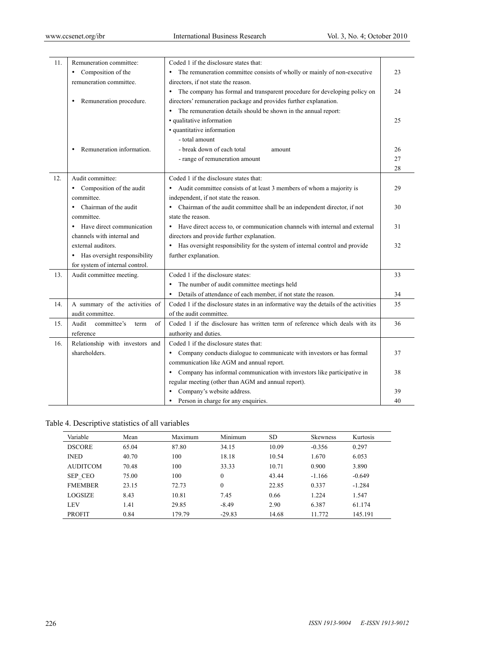| 11. | Remuneration committee:                   | Coded 1 if the disclosure states that:                                                   |    |
|-----|-------------------------------------------|------------------------------------------------------------------------------------------|----|
|     | Composition of the<br>$\bullet$           | The remuneration committee consists of wholly or mainly of non-executive                 | 23 |
|     | remuneration committee.                   | directors, if not state the reason.                                                      |    |
|     |                                           | The company has formal and transparent procedure for developing policy on<br>٠           | 24 |
|     | Remuneration procedure.<br>٠              | directors' remuneration package and provides further explanation.                        |    |
|     |                                           | The remuneration details should be shown in the annual report:                           |    |
|     |                                           | · qualitative information                                                                | 25 |
|     |                                           | · quantitative information                                                               |    |
|     |                                           | - total amount                                                                           |    |
|     | Remuneration information.<br>٠            | - break down of each total<br>amount                                                     | 26 |
|     |                                           | - range of remuneration amount                                                           | 27 |
|     |                                           |                                                                                          | 28 |
| 12. | Audit committee:                          | Coded 1 if the disclosure states that:                                                   |    |
|     | Composition of the audit<br>$\bullet$     | Audit committee consists of at least 3 members of whom a majority is<br>$\bullet$        | 29 |
|     | committee.                                | independent, if not state the reason.                                                    |    |
|     | Chairman of the audit<br>٠                | • Chairman of the audit committee shall be an independent director, if not               | 30 |
|     | committee.                                | state the reason.                                                                        |    |
|     | Have direct communication<br>$\bullet$    | • Have direct access to, or communication channels with internal and external            | 31 |
|     | channels with internal and                | directors and provide further explanation.                                               |    |
|     | external auditors.                        | Has oversight responsibility for the system of internal control and provide<br>$\bullet$ | 32 |
|     | Has oversight responsibility<br>$\bullet$ | further explanation.                                                                     |    |
|     | for system of internal control.           |                                                                                          |    |
| 13. | Audit committee meeting.                  | Coded 1 if the disclosure states:                                                        | 33 |
|     |                                           | The number of audit committee meetings held<br>٠                                         |    |
|     |                                           | Details of attendance of each member, if not state the reason.<br>$\bullet$              | 34 |
| 14. | A summary of the activities of            | Coded 1 if the disclosure states in an informative way the details of the activities     | 35 |
|     | audit committee.                          | of the audit committee.                                                                  |    |
| 15. | Audit<br>committee's<br>of<br>term        | Coded 1 if the disclosure has written term of reference which deals with its             | 36 |
|     | reference                                 | authority and duties.                                                                    |    |
| 16. | Relationship with investors and           | Coded 1 if the disclosure states that:                                                   |    |
|     | shareholders.                             | • Company conducts dialogue to communicate with investors or has formal                  | 37 |
|     |                                           | communication like AGM and annual report.                                                |    |
|     |                                           | Company has informal communication with investors like participative in<br>٠             | 38 |
|     |                                           | regular meeting (other than AGM and annual report).                                      |    |
|     |                                           | Company's website address.<br>٠                                                          | 39 |
|     |                                           | Person in charge for any enquiries.                                                      | 40 |

# Table 4. Descriptive statistics of all variables

| Variable        | Mean  | Maximum | Minimum          | <b>SD</b> | <b>Skewness</b> | Kurtosis |
|-----------------|-------|---------|------------------|-----------|-----------------|----------|
| <b>DSCORE</b>   | 65.04 | 87.80   | 34.15            | 10.09     | $-0.356$        | 0.297    |
| <b>INED</b>     | 40.70 | 100     | 18.18            | 10.54     | 1.670           | 6.053    |
| <b>AUDITCOM</b> | 70.48 | 100     | 33.33            | 10.71     | 0.900           | 3.890    |
| SEP CEO         | 75.00 | 100     | 0                | 43.44     | $-1.166$        | $-0.649$ |
| <b>FMEMBER</b>  | 23.15 | 72.73   | $\boldsymbol{0}$ | 22.85     | 0.337           | $-1.284$ |
| <b>LOGSIZE</b>  | 8.43  | 10.81   | 7.45             | 0.66      | 1.224           | 1.547    |
| <b>LEV</b>      | 1.41  | 29.85   | $-8.49$          | 2.90      | 6.387           | 61.174   |
| <b>PROFIT</b>   | 0.84  | 179.79  | $-29.83$         | 14.68     | 11.772          | 145.191  |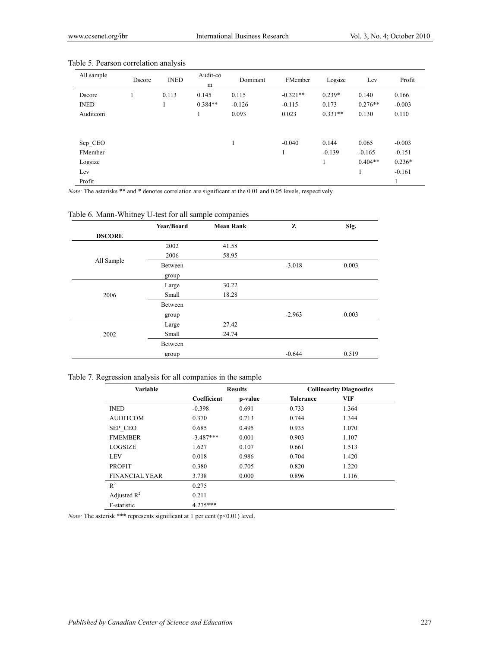| All sample     | Dscore | <b>INED</b> | Audit-co<br>m | Dominant | FMember    | Logsize   | Lev       | Profit   |
|----------------|--------|-------------|---------------|----------|------------|-----------|-----------|----------|
| <b>D</b> score | 1      | 0.113       | 0.145         | 0.115    | $-0.321**$ | $0.239*$  | 0.140     | 0.166    |
| <b>INED</b>    |        |             | $0.384**$     | $-0.126$ | $-0.115$   | 0.173     | $0.276**$ | $-0.003$ |
| Auditcom       |        |             |               | 0.093    | 0.023      | $0.331**$ | 0.130     | 0.110    |
| Sep CEO        |        |             |               |          | $-0.040$   | 0.144     | 0.065     | $-0.003$ |
| FMember        |        |             |               |          | 1          | $-0.139$  | $-0.165$  | $-0.151$ |
| Logsize        |        |             |               |          |            |           | $0.404**$ | $0.236*$ |
| Lev            |        |             |               |          |            |           | 1         | $-0.161$ |
| Profit         |        |             |               |          |            |           |           |          |

# Table 5. Pearson correlation analysis

*Note:* The asterisks \*\* and \* denotes correlation are significant at the 0.01 and 0.05 levels, respectively.

|               | Year/Board | <b>Mean Rank</b> | z        | Sig.  |
|---------------|------------|------------------|----------|-------|
| <b>DSCORE</b> |            |                  |          |       |
|               | 2002       | 41.58            |          |       |
|               | 2006       | 58.95            |          |       |
| All Sample    | Between    |                  | $-3.018$ | 0.003 |
|               | group      |                  |          |       |
|               | Large      | 30.22            |          |       |
| 2006          | Small      | 18.28            |          |       |
|               | Between    |                  |          |       |
|               | group      |                  | $-2.963$ | 0.003 |
|               | Large      | 27.42            |          |       |
| 2002          | Small      | 24.74            |          |       |
|               | Between    |                  |          |       |
|               | group      |                  | $-0.644$ | 0.519 |

# Table 6. Mann-Whitney U-test for all sample companies

# Table 7. Regression analysis for all companies in the sample

| <b>Variable</b>       |             | <b>Results</b> |                  | <b>Collinearity Diagnostics</b> |
|-----------------------|-------------|----------------|------------------|---------------------------------|
|                       | Coefficient | p-value        | <b>Tolerance</b> | <b>VIF</b>                      |
| <b>INED</b>           | $-0.398$    | 0.691          | 0.733            | 1.364                           |
| <b>AUDITCOM</b>       | 0.370       | 0.713          | 0.744            | 1.344                           |
| SEP CEO               | 0.685       | 0.495          | 0.935            | 1.070                           |
| <b>FMEMBER</b>        | $-3.487***$ | 0.001          | 0.903            | 1.107                           |
| <b>LOGSIZE</b>        | 1.627       | 0.107          | 0.661            | 1.513                           |
| <b>LEV</b>            | 0.018       | 0.986          | 0.704            | 1.420                           |
| <b>PROFIT</b>         | 0.380       | 0.705          | 0.820            | 1.220                           |
| <b>FINANCIAL YEAR</b> | 3.738       | 0.000          | 0.896            | 1.116                           |
| $R^2$                 | 0.275       |                |                  |                                 |
| Adjusted $R^2$        | 0.211       |                |                  |                                 |
| F-statistic           | $4.275***$  |                |                  |                                 |

*Note:* The asterisk \*\*\* represents significant at 1 per cent (p<0.01) level.